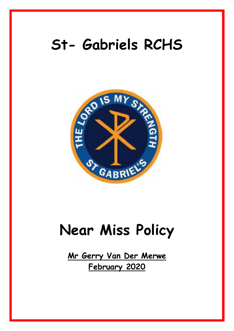# **St- Gabriels RCHS**



# **Near Miss Policy**

**Mr Gerry Van Der Merwe February 2020**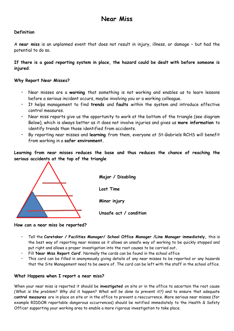## **Definition**

A **near miss** is an unplanned event that does not result in injury, illness, or damage – but had the potential to do so.

**If there is a good reporting system in place, the hazard could be dealt with before someone is injured**.

### **Why Report Near Misses?**

- Near misses are a **warning** that something is not working and enables us to learn lessons before a serious incident occurs, maybe involving you or a working colleague.
- It helps management to find **trends** and **faults** within the system and introduce effective control measures.
- Near miss reports give us the opportunity to work at the bottom of the triangle (see diagram Below), which is always better as it does not involve injuries and gives us **more information** to identify trends than those identified from accidents.
- By reporting near misses and **learning** from them, everyone at St-Gabriels RCHS will benefit from working in a **safer environment.**

**Learning from near misses reduces the base and thus reduces the chance of reaching the serious accidents at the top of the triangle**



**Major / Disabling Lost Time Minor injury Unsafe act / condition**

#### **How can a near miss be reported?**

- Tell the **Caretaker / Facilities Manager/ School Office Manager /Line Manager immediately,** this is the best way of reporting near misses as it allows an unsafe way of working to be quickly stopped and put right and allows a proper investigation into the root causes to be carried out**.**
- Fill '**Near Miss Report Card'**. Normally the cards can be found in the school office
- This card can be filled in anonymously giving details of any near misses to be reported or any hazards that the Site Management need to be aware of. The card can be left with the staff in the school office.

#### **What Happens when I report a near miss?**

When your near miss is reported it should be **investigated** on site or in the office to ascertain the root cause *(What is the problem? Why did it happen? What will be done to prevent it?)* and to ensure that adequate **control measures** are in place on site or in the office to prevent a reoccurrence. More serious near misses (for example RIDDOR reportable dangerous occurrences) should be notified immediately to the Health & Safety Officer supporting your working area to enable a more rigorous investigation to take place.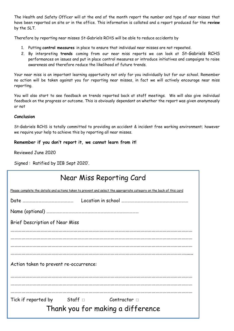The Health and Safety Officer will at the end of the month report the number and type of near misses that have been reported on site or in the office. This information is collated and a report produced for the **review**  by the SLT.

Therefore by reporting near misses St-Gabriels RCHS will be able to reduce accidents by

- 1. Putting **control measures** in place to ensure that individual near misses are not repeated.
- 2. By interpreting **trends** coming from our near miss reports we can look at St-Gabriels RCHS performances on issues and put in place control measures or introduce initiatives and campaigns to raise awareness and therefore reduce the likelihood of future trends.

Your near miss is an important learning opportunity not only for you individually but for our school. Remember no action will be taken against you for reporting near misses, in fact we will actively encourage near miss reporting.

You will also start to see feedback on trends reported back at staff meetings. We will also give individual feedback on the progress or outcome. This is obviously dependant on whether the report was given anonymously or not

#### **Conclusion**

St-Gabriels RCHS is totally committed to providing an accident & incident free working environment; however we require your help to achieve this by reporting all near misses.

#### **Remember if you don't report it, we cannot learn from it!**

Reviewed June 2020

Signed : Ratified by IEB Sept 2020'.

| Near Miss Reporting Card                                                                                              |  |  |
|-----------------------------------------------------------------------------------------------------------------------|--|--|
| Please complete the details and actions taken to prevent and select the appropriate category on the back of this card |  |  |
|                                                                                                                       |  |  |
|                                                                                                                       |  |  |
| Brief Description of Near Miss                                                                                        |  |  |
|                                                                                                                       |  |  |
|                                                                                                                       |  |  |
|                                                                                                                       |  |  |
| Action taken to prevent re-occurrence:                                                                                |  |  |
|                                                                                                                       |  |  |
|                                                                                                                       |  |  |
| Tick if reported by Staff $\Box$ Contractor $\Box$<br>Thank you for making a difference                               |  |  |